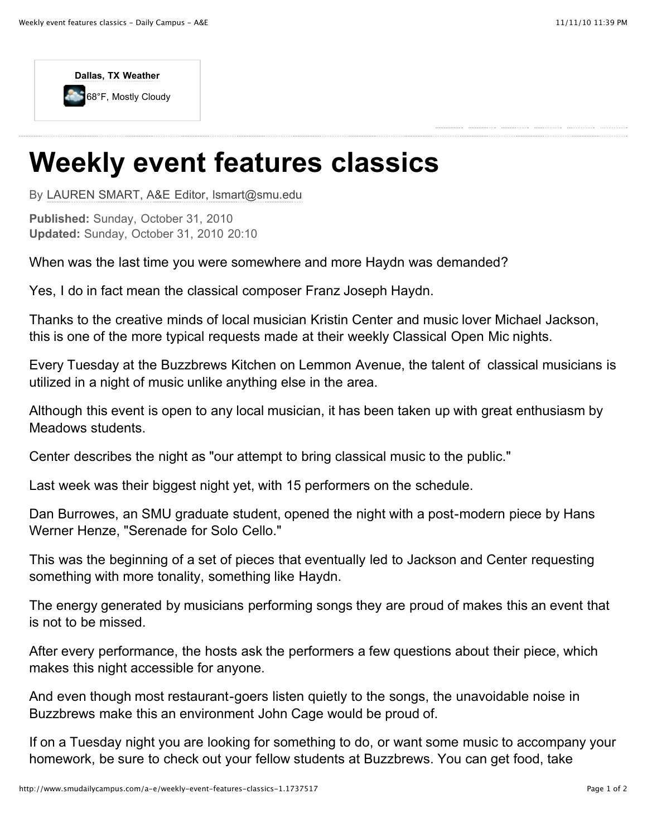

## **Weekly event features classics**

By [LAUREN SMART, A&E Editor, lsmart@smu.edu](http://www.smudailycampus.com/search?q=%22LAUREN%20SMART,%20A&E%20Editor,%20lsmart@smu.edu%22)

**Published:** Sunday, October 31, 2010 **Updated:** Sunday, October 31, 2010 20:10

When was the last time you were somewhere and more Haydn was demanded?

Yes, I do in fact mean the classical composer Franz Joseph Haydn.

Thanks to the creative minds of local musician Kristin Center and music lover Michael Jackson, this is one of the more typical requests made at their weekly Classical Open Mic nights.

Every Tuesday at the Buzzbrews Kitchen on Lemmon Avenue, the talent of classical musicians is utilized in a night of music unlike anything else in the area.

Although this event is open to any local musician, it has been taken up with great enthusiasm by Meadows students.

Center describes the night as "our attempt to bring classical music to the public."

Last week was their biggest night yet, with 15 performers on the schedule.

Dan Burrowes, an SMU graduate student, opened the night with a post-modern piece by Hans Werner Henze, "Serenade for Solo Cello."

This was the beginning of a set of pieces that eventually led to Jackson and Center requesting something with more tonality, something like Haydn.

The energy generated by musicians performing songs they are proud of makes this an event that is not to be missed.

After every performance, the hosts ask the performers a few questions about their piece, which makes this night accessible for anyone.

And even though most restaurant-goers listen quietly to the songs, the unavoidable noise in Buzzbrews make this an environment John Cage would be proud of.

If on a Tuesday night you are looking for something to do, or want some music to accompany your homework, be sure to check out your fellow students at Buzzbrews. You can get food, take